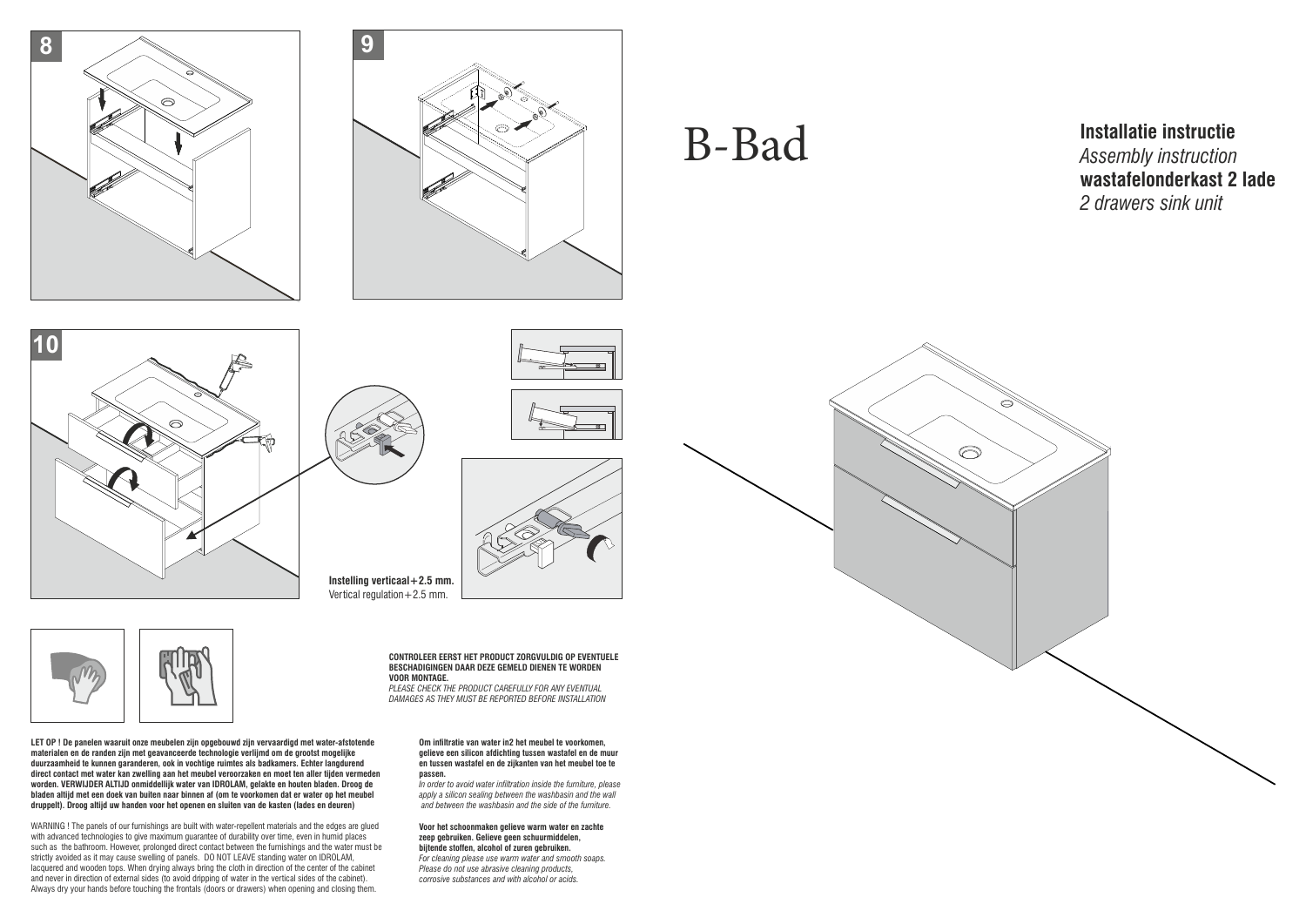## B-Bad









**Instelling verticaal+2.5 mm.** Vertical regulation  $+2.5$  mm.

**Installatie instructie** *Assembly instruction*  **wastafelonderkast 2 lade** *2 drawers sink unit*





**LET OP ! De panelen waaruit onze meubelen zijn opgebouwd zijn vervaardigd met water-afstotende materialen en de randen zijn met geavanceerde technologie verlijmd om de grootst mogelijke duurzaamheid te kunnen garanderen, ook in vochtige ruimtes als badkamers. Echter langdurend direct contact met water kan zwelling aan het meubel veroorzaken en moet ten aller tijden vermeden worden. VERWIJDER ALTIJD onmiddellijk water van IDROLAM, gelakte en houten bladen. Droog de bladen altijd met een doek van buiten naar binnen af (om te voorkomen dat er water op het meubel druppelt). Droog altijd uw handen voor het openen en sluiten van de kasten (lades en deuren)**

## **Om infiltratie van water in2 het meubel te voorkomen, gelieve een silicon afdichting tussen wastafel en de muur en tussen wastafel en de zijkanten van het meubel toe te passen.**

WARNING ! The panels of our furnishings are built with water-repellent materials and the edges are glued with advanced technologies to give maximum guarantee of durability over time, even in humid places such as the bathroom. However, prolonged direct contact between the furnishings and the water must be strictly avoided as it may cause swelling of panels. DO NOT LEAVE standing water on IDROLAM, lacquered and wooden tops. When drying always bring the cloth in direction of the center of the cabinet and never in direction of external sides (to avoid dripping of water in the vertical sides of the cabinet). Always dry your hands before touching the frontals (doors or drawers) when opening and closing them.

*In order to avoid water inltration inside the furniture, please apply a silicon sealing between the washbasin and the wall and between the washbasin and the side of the furniture.*

## **Voor het schoonmaken gelieve warm water en zachte zeep gebruiken. Gelieve geen schuurmiddelen, bijtende stoffen, alcohol of zuren gebruiken.** *For cleaning please use warm water and smooth soaps.*

*Please do not use abrasive cleaning products, corrosive substances and with alcohol or acids.*



**CONTROLEER EERST HET PRODUCT ZORGVULDIG OP EVENTUELE BESCHADIGINGEN DAAR DEZE GEMELD DIENEN TE WORDEN VOOR MONTAGE.**

*PLEASE CHECK THE PRODUCT CAREFULLY FOR ANY EVENTUAL DAMAGES AS THEY MUST BE REPORTED BEFORE INSTALLATION*